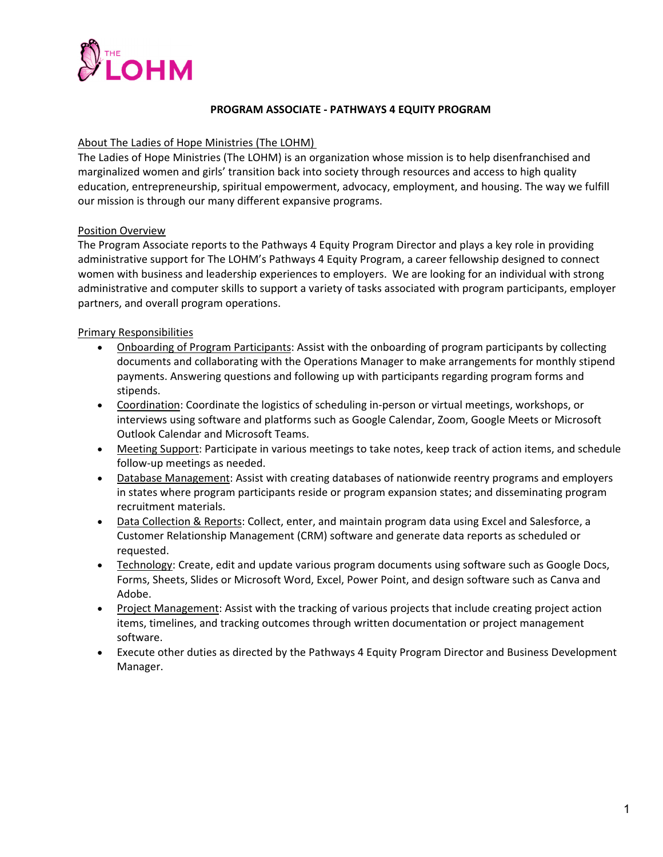

#### **PROGRAM ASSOCIATE ‐ PATHWAYS 4 EQUITY PROGRAM**

### About The Ladies of Hope Ministries (The LOHM)

The Ladies of Hope Ministries (The LOHM) is an organization whose mission is to help disenfranchised and marginalized women and girls' transition back into society through resources and access to high quality education, entrepreneurship, spiritual empowerment, advocacy, employment, and housing. The way we fulfill our mission is through our many different expansive programs.

# Position Overview

The Program Associate reports to the Pathways 4 Equity Program Director and plays a key role in providing administrative support for The LOHM's Pathways 4 Equity Program, a career fellowship designed to connect women with business and leadership experiences to employers. We are looking for an individual with strong administrative and computer skills to support a variety of tasks associated with program participants, employer partners, and overall program operations.

# Primary Responsibilities

- Onboarding of Program Participants: Assist with the onboarding of program participants by collecting documents and collaborating with the Operations Manager to make arrangements for monthly stipend payments. Answering questions and following up with participants regarding program forms and stipends.
- Coordination: Coordinate the logistics of scheduling in-person or virtual meetings, workshops, or interviews using software and platforms such as Google Calendar, Zoom, Google Meets or Microsoft Outlook Calendar and Microsoft Teams.
- Meeting Support: Participate in various meetings to take notes, keep track of action items, and schedule follow‐up meetings as needed.
- Database Management: Assist with creating databases of nationwide reentry programs and employers in states where program participants reside or program expansion states; and disseminating program recruitment materials.
- Data Collection & Reports: Collect, enter, and maintain program data using Excel and Salesforce, a Customer Relationship Management (CRM) software and generate data reports as scheduled or requested.
- Technology: Create, edit and update various program documents using software such as Google Docs, Forms, Sheets, Slides or Microsoft Word, Excel, Power Point, and design software such as Canva and Adobe.
- Project Management: Assist with the tracking of various projects that include creating project action items, timelines, and tracking outcomes through written documentation or project management software.
- Execute other duties as directed by the Pathways 4 Equity Program Director and Business Development Manager.